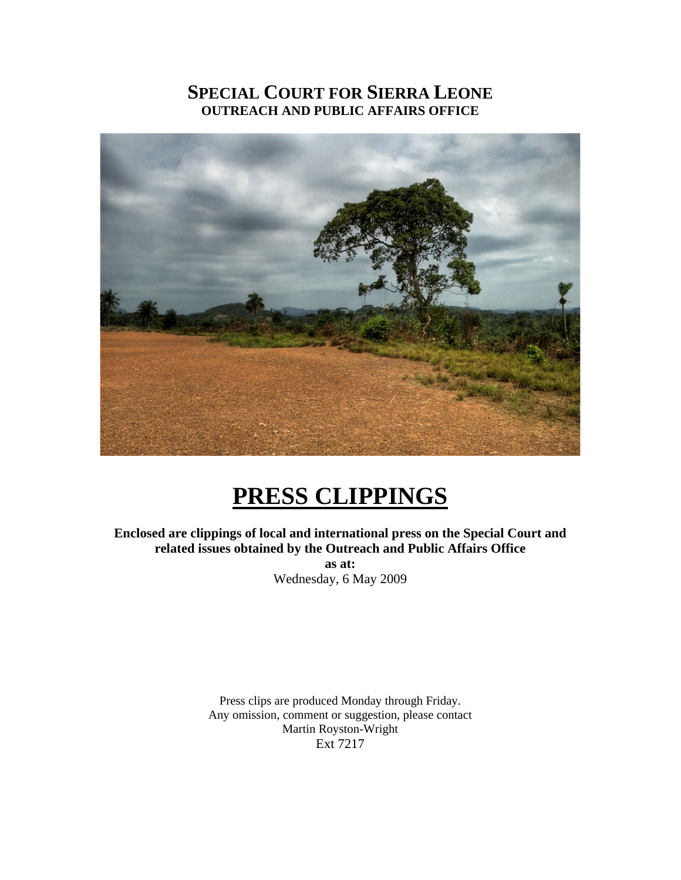# **SPECIAL COURT FOR SIERRA LEONE OUTREACH AND PUBLIC AFFAIRS OFFICE**



# **PRESS CLIPPINGS**

**Enclosed are clippings of local and international press on the Special Court and related issues obtained by the Outreach and Public Affairs Office as at:** 

Wednesday, 6 May 2009

Press clips are produced Monday through Friday. Any omission, comment or suggestion, please contact Martin Royston-Wright Ext 7217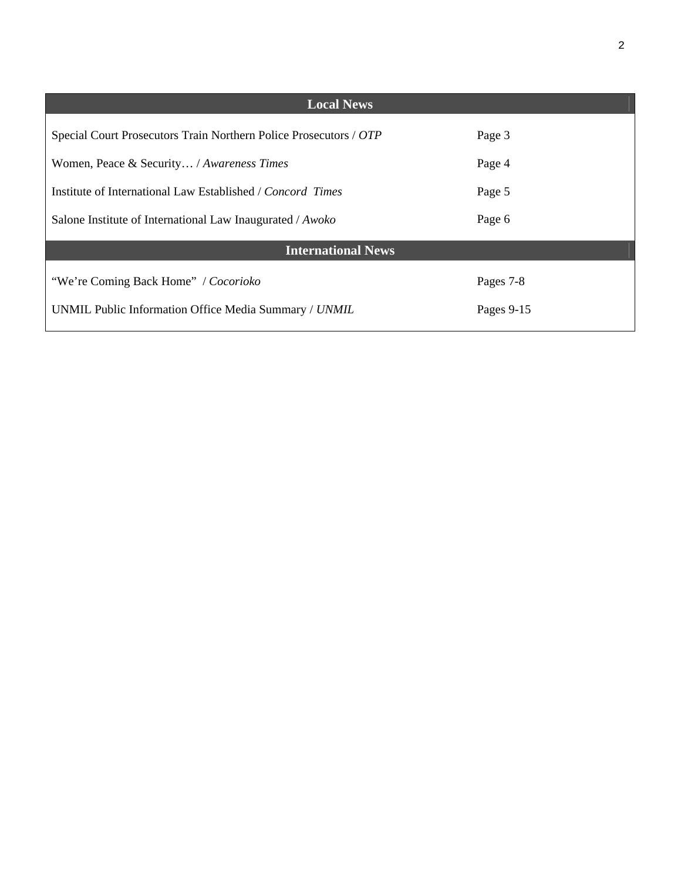| <b>Local News</b>                                                 |            |
|-------------------------------------------------------------------|------------|
| Special Court Prosecutors Train Northern Police Prosecutors / OTP | Page 3     |
| Women, Peace & Security / Awareness Times                         | Page 4     |
| Institute of International Law Established / Concord Times        | Page 5     |
| Salone Institute of International Law Inaugurated / Awoko         | Page 6     |
| <b>International News</b>                                         |            |
| "We're Coming Back Home" / Cocorioko                              | Pages 7-8  |
| UNMIL Public Information Office Media Summary / UNMIL             | Pages 9-15 |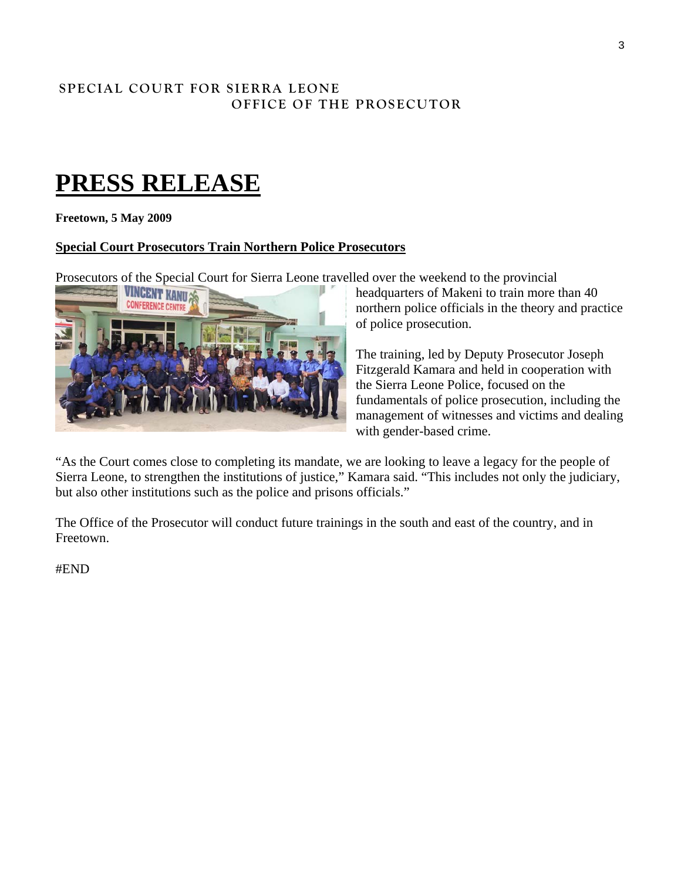## **SPECIAL COURT FOR SIERRA LEONE OFFICE OF THE PROSECUTOR**

# **PRESS RELEASE**

**Freetown, 5 May 2009** 

## **Special Court Prosecutors Train Northern Police Prosecutors**

Prosecutors of the Special Court for Sierra Leone travelled over the weekend to the provincial



headquarters of Makeni to train more than 40 northern police officials in the theory and practice of police prosecution.

The training, led by Deputy Prosecutor Joseph Fitzgerald Kamara and held in cooperation with the Sierra Leone Police, focused on the fundamentals of police prosecution, including the management of witnesses and victims and d ealing with gender-based crime.

"As the Court comes close to completing its mandate, we are looking to leave a legacy for the people of Sierra Leone, to strengthen the institutions of justice," Kamara said. "This includes not only the judiciary, but also other institutions such as the police and prisons officials."

The Office of the Prosecutor will conduct future trainings in the south and east of the country, and in Freetown.

#END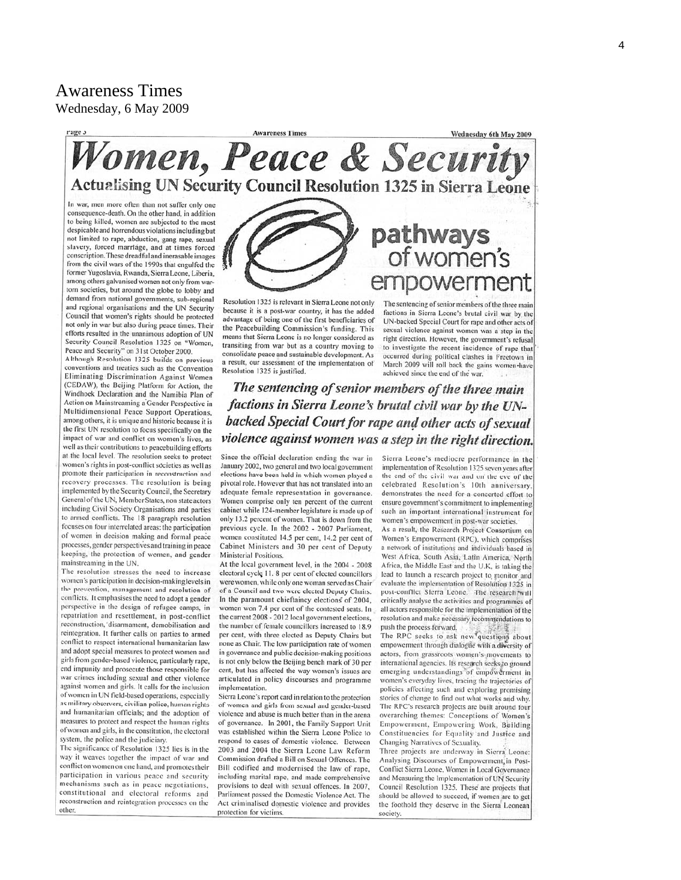## Awareness Times Wednesday, 6 May 2009

**Awareness Times** Wednesday 6th May 2009 Women, Peace & Security **Actualising UN Security Council Resolution 1325 in Sierra Leone** 

In war, men more often than not suffer only one consequence-death. On the other hand, in addition to being killed, women are subjected to the most despicable and horrendous violations including but not limited to rape, abduction, gang rape, sexual slavery, forced marriage, and at times forced conscription. These dreadful and inerasable images from the civil wars of the 1990s that engulfed the former Yugoslavia, Rwanda, Sierra Leone, Liberia, among others galvanised women not only from wartorn societies, but around the globe to lobby and demand from national governments, sub-regional and regional organisations and the UN Security Council that women's rights should be protected not only in war but also during peace times. Their efforts resulted in the unanimous adoption of UN Security Council Resolution 1325 on "Women, Peace and Security" on 31st October 2000.

Although Resolution 1325 builds on previous conventions and treaties such as the Convention Eliminating Discrimination Against Women (CEDAW), the Beijing Platform for Action, the Windhoek Declaration and the Namibia Plan of Action on Mainstreaming a Gender Perspective in Multidimensional Peace Support Operations, among others, it is unique and historic because it is the first UN resolution to focus specifically on the impact of war and conflict on women's lives, as well as their contributions to peacebuilding efforts at the local level. The resolution seeks to protect women's rights in post-conflict societies as well as promote their participation in reconstruction and recovery processes. The resolution is being implemented by the Security Council, the Secretary General of the UN, Member States, non state actors including Civil Society Organisations and parties to armed conflicts. The 18 paragraph resolution focuses on four interrelated areas: the participation of women in decision making and formal peace processes, gender perspectives and training in peace keeping, the protection of women, and gender mainstreaming in the UN.

The resolution stresses the need to increase women's participation in decision-making levels in the prevention, management and resolution of conflicts. It emphasises the need to adopt a gender perspective in the design of refugee camps, in repatriation and resettlement, in post-conflict reconstruction, disarmament, demobilisation and reintegration. It further calls on parties to armed conflict to respect international humanitarian law and adopt special measures to protect women and girls from gender-based violence, particularly rape, end impunity and prosecute those responsible for war crimes including sexual and other violence against women and girls. It calls for the inclusion of women in UN field-based operations, especially as military observers, civilian police, human rights and humanitarian officials; and the adoption of measures to protect and respect the human rights of women and girls, in the constitution, the electoral system, the police and the judiciary

The significance of Resolution 1325 lies is in the way it weaves together the impact of war and conflict on women on one hand, and promotes their participation in various peace and security mechanisms such as in peace negotiations, constitutional and electoral reforms and reconstruction and reintegration processes on the other

Resolution 1325 is relevant in Sierra Leone not only because it is a post-war country, it has the added advantage of being one of the first beneficiaries of the Peacebuilding Commission's funding. This means that Sierra Leone is no longer considered as transiting from war but as a country moving to consolidate peace and sustainable development. As a result, our assessment of the implementation of Resolution 1325 is justified.

The sentencing of senior members of the three main factions in Sierra Leone's brutal civil war by the UN-backed Special Court for rape and other acts of sexual violence against women was a step in the right direction. However, the government's refusal to investigate the recent incidence of rape that occurred during political clashes in Freetown in March 2009 will roll back the gains women have achieved since the end of the war.

mpowerment

pathways<br>of women's

The sentencing of senior members of the three main factions in Sierra Leone's brutal civil war by the UNbacked Special Court for rape and other acts of sexual violence against women was a step in the right direction.

Since the official declaration ending the war in January 2002, two general and two local government elections have been held in which women played a pivotal role. However that has not translated into an adequate female representation in governance. Women comprise only ten percent of the current cabinet while 124-member legislature is made up of only 13.2 percent of women. That is down from the previous cycle. In the 2002 - 2007 Parliament, women constituted 14.5 per cent, 14.2 per cent of Cabinet Ministers and 30 per cent of Deputy Ministerial Positions.

At the local government level, in the 2004 - 2008 electoral cycle 11, 8 per cent of elected councillors were women, while only one woman served as Chair of a Council and two were elected Deputy Chairs. In the paramount chieftaincy elections of 2004, women won 7.4 per cent of the contested seats. In the current 2008 - 2012 local government elections, the number of female councillors increased to 18.9 per cent, with three elected as Deputy Chairs but none as Chair. The low participation rate of women in governance and public decision-making positions is not only below the Beijing bench mark of 30 per cent, but has affected the way women's issues are articulated in policy discourses and programme implementation.

Sierra Leone's report card in relation to the protection of women and girls from sexual and gender-based violence and abuse is much better than in the arena of governance. In 2001, the Family Support Unit was established within the Sierra Leone Police to respond to cases of domestic violence. Between 2003 and 2004 the Sierra Leone Law Reform Commission drafted a Bill on Sexual Offences. The Bill codified and modernised the law of rape, including marital rape, and made comprehensive provisions to deal with sexual offences. In 2007, Parliament passed the Domestic Violence Act. The Act criminalised domestic violence and provides protection for victims.

Sierra Leone's mediocre performance in the implementation of Resolution 1325 seven years after the end of the civil war and on the eye of the celebrated Resolution's 10th anniversary. demonstrates the need for a concerted effort to ensure government's commitment to implementing such an important international instrument for women's empowerment in post-war societies.

As a result, the Research Project Consortium on Women's Empowerment (RPC), which comprises a network of institutions and individuals based in West Africa, South Asia, Latin America, North Africa, the Middle East and the U.K, is taking the lead to launch a research project to monitor and evaluate the implementation of Resolution 1325 in post-conflict Sierra Leone. The research will critically analyse the activities and programmes of all actors responsible for the implementation of the resolution and make necessary recommendations to push the process forward. The RPC seeks to ask new questions about empowerment through dialogue with a diversity of actors, from grassroots women's movements to international agencies. Its research seeks to ground emerging understandings of empowerment in women's everyday lives, tracing the trajectories of policies affecting such and exploring promising stories of change to find out what works and why.

The RPC's research projects are built around four overarching themes: Conceptions of Women's Empowerment, Empowering Work, Building Constituencies for Equality and Justice and Changing Narratives of Sexuality.

Three projects are underway in Sierra Leone: Analysing Discourses of Empowerment in Post-Conflict Sierra Leone, Women in Local Governance and Measuring the Implementation of UN Security Council Resolution 1325. These are projects that should be allowed to succeed, if women are to get the foothold they deserve in the Sierra Leonean society.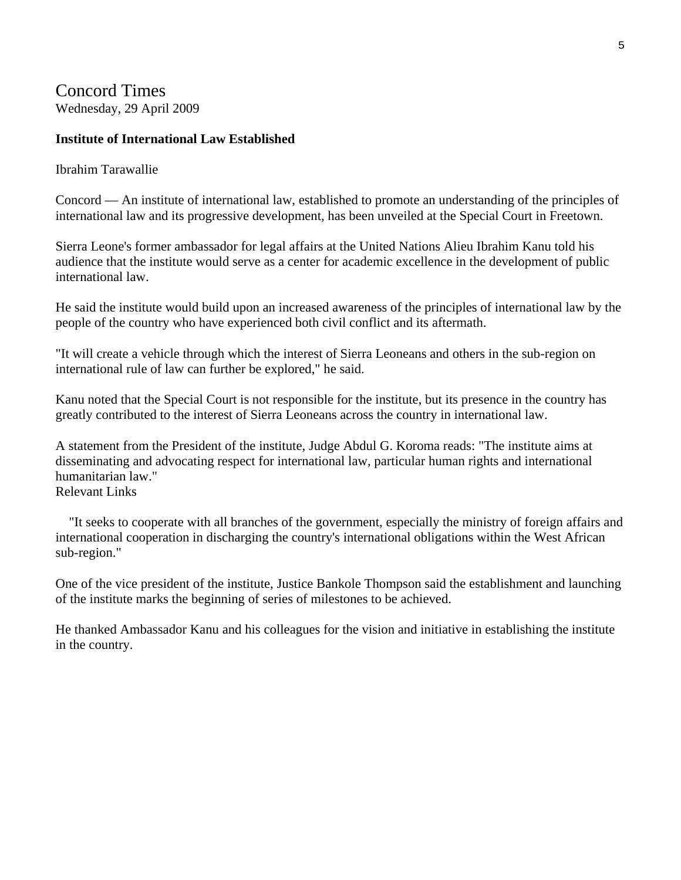Concord Times Wednesday, 29 April 2009

#### **Institute of International Law Established**

Ibrahim Tarawallie

Concord — An institute of international law, established to promote an understanding of the principles of international law and its progressive development, has been unveiled at the Special Court in Freetown.

Sierra Leone's former ambassador for legal affairs at the United Nations Alieu Ibrahim Kanu told his audience that the institute would serve as a center for academic excellence in the development of public international law.

He said the institute would build upon an increased awareness of the principles of international law by the people of the country who have experienced both civil conflict and its aftermath.

"It will create a vehicle through which the interest of Sierra Leoneans and others in the sub-region on international rule of law can further be explored," he said.

Kanu noted that the Special Court is not responsible for the institute, but its presence in the country has greatly contributed to the interest of Sierra Leoneans across the country in international law.

A statement from the President of the institute, Judge Abdul G. Koroma reads: "The institute aims at disseminating and advocating respect for international law, particular human rights and international humanitarian law." Relevant Links

 "It seeks to cooperate with all branches of the government, especially the ministry of foreign affairs and international cooperation in discharging the country's international obligations within the West African sub-region."

One of the vice president of the institute, Justice Bankole Thompson said the establishment and launching of the institute marks the beginning of series of milestones to be achieved.

He thanked Ambassador Kanu and his colleagues for the vision and initiative in establishing the institute in the country.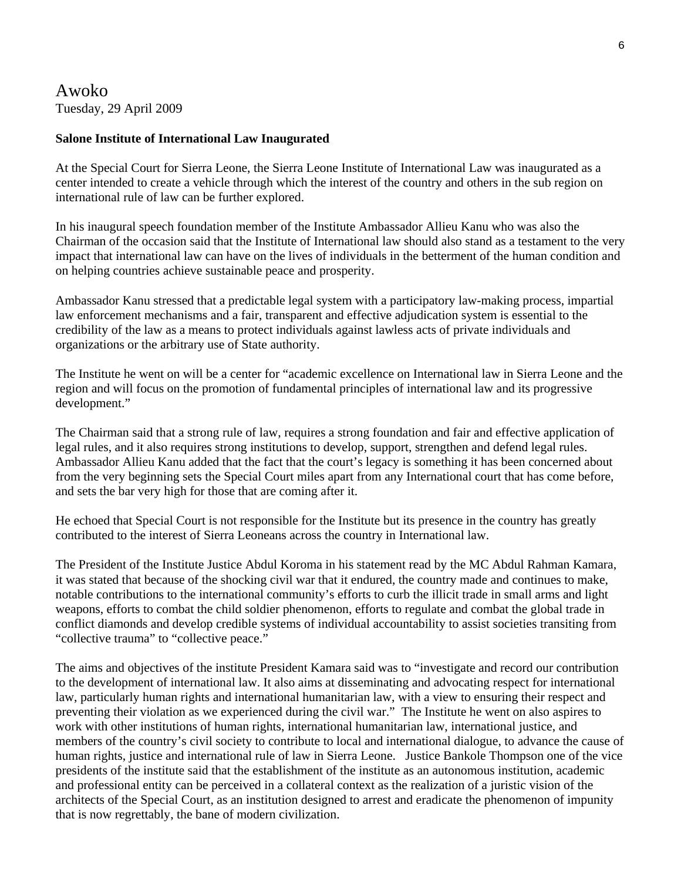Awoko Tuesday, 29 April 2009

#### **Salone Institute of International Law Inaugurated**

At the Special Court for Sierra Leone, the Sierra Leone Institute of International Law was inaugurated as a center intended to create a vehicle through which the interest of the country and others in the sub region on international rule of law can be further explored.

In his inaugural speech foundation member of the Institute Ambassador Allieu Kanu who was also the Chairman of the occasion said that the Institute of International law should also stand as a testament to the very impact that international law can have on the lives of individuals in the betterment of the human condition and on helping countries achieve sustainable peace and prosperity.

Ambassador Kanu stressed that a predictable legal system with a participatory law-making process, impartial law enforcement mechanisms and a fair, transparent and effective adjudication system is essential to the credibility of the law as a means to protect individuals against lawless acts of private individuals and organizations or the arbitrary use of State authority.

The Institute he went on will be a center for "academic excellence on International law in Sierra Leone and the region and will focus on the promotion of fundamental principles of international law and its progressive development."

The Chairman said that a strong rule of law, requires a strong foundation and fair and effective application of legal rules, and it also requires strong institutions to develop, support, strengthen and defend legal rules. Ambassador Allieu Kanu added that the fact that the court's legacy is something it has been concerned about from the very beginning sets the Special Court miles apart from any International court that has come before, and sets the bar very high for those that are coming after it.

He echoed that Special Court is not responsible for the Institute but its presence in the country has greatly contributed to the interest of Sierra Leoneans across the country in International law.

The President of the Institute Justice Abdul Koroma in his statement read by the MC Abdul Rahman Kamara, it was stated that because of the shocking civil war that it endured, the country made and continues to make, notable contributions to the international community's efforts to curb the illicit trade in small arms and light weapons, efforts to combat the child soldier phenomenon, efforts to regulate and combat the global trade in conflict diamonds and develop credible systems of individual accountability to assist societies transiting from "collective trauma" to "collective peace."

The aims and objectives of the institute President Kamara said was to "investigate and record our contribution to the development of international law. It also aims at disseminating and advocating respect for international law, particularly human rights and international humanitarian law, with a view to ensuring their respect and preventing their violation as we experienced during the civil war." The Institute he went on also aspires to work with other institutions of human rights, international humanitarian law, international justice, and members of the country's civil society to contribute to local and international dialogue, to advance the cause of human rights, justice and international rule of law in Sierra Leone. Justice Bankole Thompson one of the vice presidents of the institute said that the establishment of the institute as an autonomous institution, academic and professional entity can be perceived in a collateral context as the realization of a juristic vision of the architects of the Special Court, as an institution designed to arrest and eradicate the phenomenon of impunity that is now regrettably, the bane of modern civilization.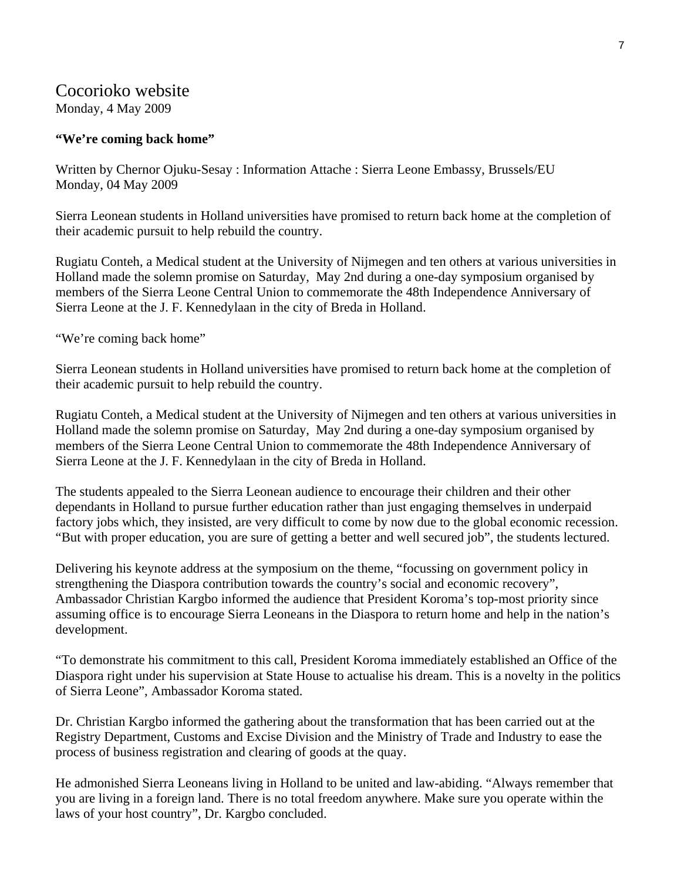### Cocorioko website Monday, 4 May 2009

#### **"We're coming back home"**

Written by Chernor Ojuku-Sesay : Information Attache : Sierra Leone Embassy, Brussels/EU Monday, 04 May 2009

Sierra Leonean students in Holland universities have promised to return back home at the completion of their academic pursuit to help rebuild the country.

Rugiatu Conteh, a Medical student at the University of Nijmegen and ten others at various universities in Holland made the solemn promise on Saturday, May 2nd during a one-day symposium organised by members of the Sierra Leone Central Union to commemorate the 48th Independence Anniversary of Sierra Leone at the J. F. Kennedylaan in the city of Breda in Holland.

"We're coming back home"

Sierra Leonean students in Holland universities have promised to return back home at the completion of their academic pursuit to help rebuild the country.

Rugiatu Conteh, a Medical student at the University of Nijmegen and ten others at various universities in Holland made the solemn promise on Saturday, May 2nd during a one-day symposium organised by members of the Sierra Leone Central Union to commemorate the 48th Independence Anniversary of Sierra Leone at the J. F. Kennedylaan in the city of Breda in Holland.

The students appealed to the Sierra Leonean audience to encourage their children and their other dependants in Holland to pursue further education rather than just engaging themselves in underpaid factory jobs which, they insisted, are very difficult to come by now due to the global economic recession. "But with proper education, you are sure of getting a better and well secured job", the students lectured.

Delivering his keynote address at the symposium on the theme, "focussing on government policy in strengthening the Diaspora contribution towards the country's social and economic recovery", Ambassador Christian Kargbo informed the audience that President Koroma's top-most priority since assuming office is to encourage Sierra Leoneans in the Diaspora to return home and help in the nation's development.

"To demonstrate his commitment to this call, President Koroma immediately established an Office of the Diaspora right under his supervision at State House to actualise his dream. This is a novelty in the politics of Sierra Leone", Ambassador Koroma stated.

Dr. Christian Kargbo informed the gathering about the transformation that has been carried out at the Registry Department, Customs and Excise Division and the Ministry of Trade and Industry to ease the process of business registration and clearing of goods at the quay.

He admonished Sierra Leoneans living in Holland to be united and law-abiding. "Always remember that you are living in a foreign land. There is no total freedom anywhere. Make sure you operate within the laws of your host country", Dr. Kargbo concluded.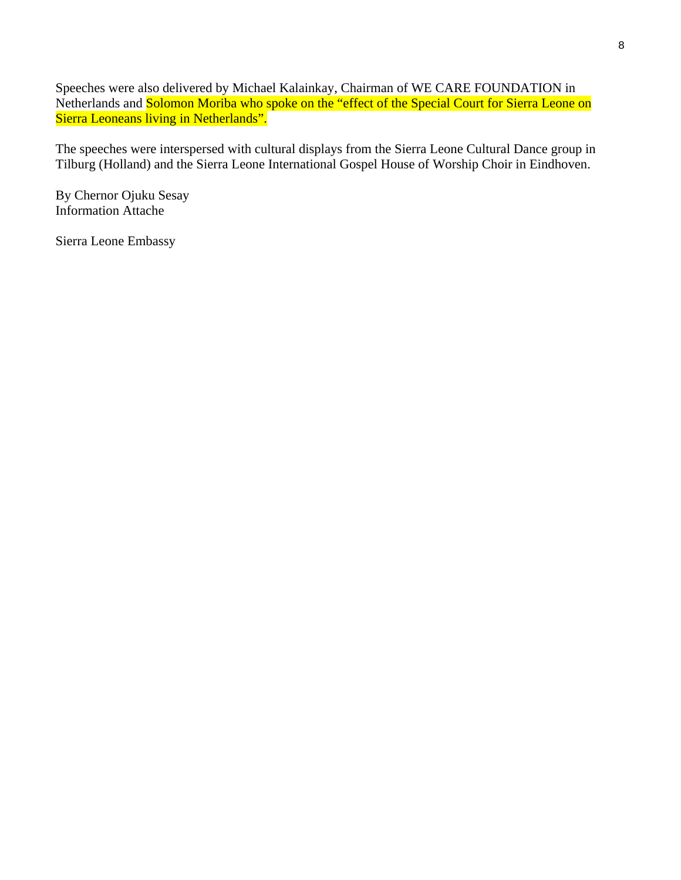Speeches were also delivered by Michael Kalainkay, Chairman of WE CARE FOUNDATION in Netherlands and Solomon Moriba who spoke on the "effect of the Special Court for Sierra Leone on Sierra Leoneans living in Netherlands".

The speeches were interspersed with cultural displays from the Sierra Leone Cultural Dance group in Tilburg (Holland) and the Sierra Leone International Gospel House of Worship Choir in Eindhoven.

By Chernor Ojuku Sesay Information Attache

Sierra Leone Embassy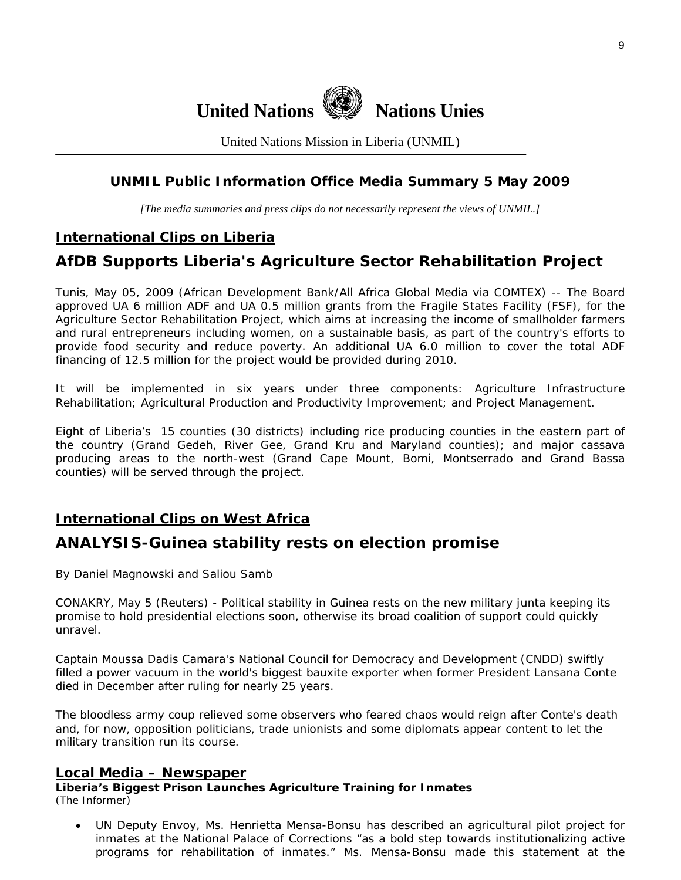

United Nations Mission in Liberia (UNMIL)

## **UNMIL Public Information Office Media Summary 5 May 2009**

*[The media summaries and press clips do not necessarily represent the views of UNMIL.]* 

## **International Clips on Liberia**

# **AfDB Supports Liberia's Agriculture Sector Rehabilitation Project**

Tunis, May 05, 2009 (African Development Bank/All Africa Global Media via COMTEX) -- The Board approved UA 6 million ADF and UA 0.5 million grants from the Fragile States Facility (FSF), for the Agriculture Sector Rehabilitation Project, which aims at increasing the income of smallholder farmers and rural entrepreneurs including women, on a sustainable basis, as part of the country's efforts to provide food security and reduce poverty. An additional UA 6.0 million to cover the total ADF financing of 12.5 million for the project would be provided during 2010.

It will be implemented in six years under three components: Agriculture Infrastructure Rehabilitation; Agricultural Production and Productivity Improvement; and Project Management.

Eight of Liberia's 15 counties (30 districts) including rice producing counties in the eastern part of the country (Grand Gedeh, River Gee, Grand Kru and Maryland counties); and major cassava producing areas to the north-west (Grand Cape Mount, Bomi, Montserrado and Grand Bassa counties) will be served through the project.

## **International Clips on West Africa**

## **ANALYSIS-Guinea stability rests on election promise**

By Daniel Magnowski and Saliou Samb

CONAKRY, May 5 (Reuters) - Political stability in Guinea rests on the new military junta keeping its promise to hold presidential elections soon, otherwise its broad coalition of support could quickly unravel.

Captain Moussa Dadis Camara's National Council for Democracy and Development (CNDD) swiftly filled a power vacuum in the world's biggest bauxite exporter when former President Lansana Conte died in December after ruling for nearly 25 years.

The bloodless army coup relieved some observers who feared chaos would reign after Conte's death and, for now, opposition politicians, trade unionists and some diplomats appear content to let the military transition run its course.

#### **Local Media – Newspaper**

**Liberia's Biggest Prison Launches Agriculture Training for Inmates**  (The Informer)

• UN Deputy Envoy, Ms. Henrietta Mensa-Bonsu has described an agricultural pilot project for inmates at the National Palace of Corrections "as a bold step towards institutionalizing active programs for rehabilitation of inmates." Ms. Mensa-Bonsu made this statement at the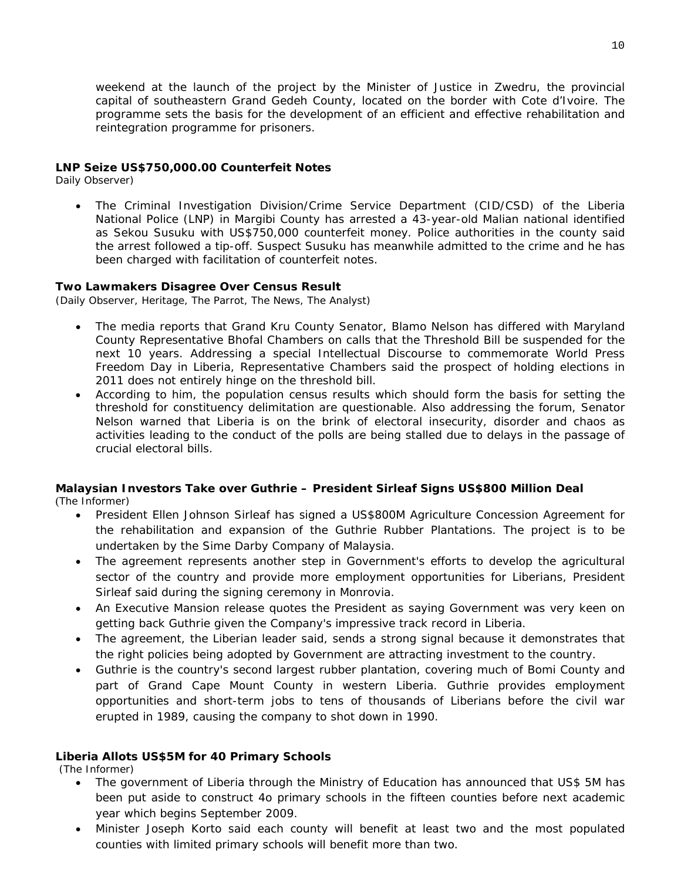weekend at the launch of the project by the Minister of Justice in Zwedru, the provincial capital of southeastern Grand Gedeh County, located on the border with Cote d'Ivoire. The programme sets the basis for the development of an efficient and effective rehabilitation and reintegration programme for prisoners.

#### **LNP Seize US\$750,000.00 Counterfeit Notes**

Daily Observer)

• The Criminal Investigation Division/Crime Service Department (CID/CSD) of the Liberia National Police (LNP) in Margibi County has arrested a 43-year-old Malian national identified as Sekou Susuku with US\$750,000 counterfeit money. Police authorities in the county said the arrest followed a tip-off. Suspect Susuku has meanwhile admitted to the crime and he has been charged with facilitation of counterfeit notes.

#### **Two Lawmakers Disagree Over Census Result**

(Daily Observer, Heritage, The Parrot, The News, The Analyst)

- The media reports that Grand Kru County Senator, Blamo Nelson has differed with Maryland County Representative Bhofal Chambers on calls that the Threshold Bill be suspended for the next 10 years. Addressing a special Intellectual Discourse to commemorate World Press Freedom Day in Liberia, Representative Chambers said the prospect of holding elections in 2011 does not entirely hinge on the threshold bill.
- According to him, the population census results which should form the basis for setting the threshold for constituency delimitation are questionable. Also addressing the forum, Senator Nelson warned that Liberia is on the brink of electoral insecurity, disorder and chaos as activities leading to the conduct of the polls are being stalled due to delays in the passage of crucial electoral bills.

#### **Malaysian Investors Take over Guthrie – President Sirleaf Signs US\$800 Million Deal**

(The Informer)

- President Ellen Johnson Sirleaf has signed a US\$800M Agriculture Concession Agreement for the rehabilitation and expansion of the Guthrie Rubber Plantations. The project is to be undertaken by the Sime Darby Company of Malaysia.
- The agreement represents another step in Government's efforts to develop the agricultural sector of the country and provide more employment opportunities for Liberians, President Sirleaf said during the signing ceremony in Monrovia.
- An Executive Mansion release quotes the President as saying Government was very keen on getting back Guthrie given the Company's impressive track record in Liberia.
- The agreement, the Liberian leader said, sends a strong signal because it demonstrates that the right policies being adopted by Government are attracting investment to the country.
- Guthrie is the country's second largest rubber plantation, covering much of Bomi County and part of Grand Cape Mount County in western Liberia. Guthrie provides employment opportunities and short-term jobs to tens of thousands of Liberians before the civil war erupted in 1989, causing the company to shot down in 1990.

#### **Liberia Allots US\$5M for 40 Primary Schools**

(The Informer)

- The government of Liberia through the Ministry of Education has announced that US\$ 5M has been put aside to construct 4o primary schools in the fifteen counties before next academic year which begins September 2009.
- Minister Joseph Korto said each county will benefit at least two and the most populated counties with limited primary schools will benefit more than two.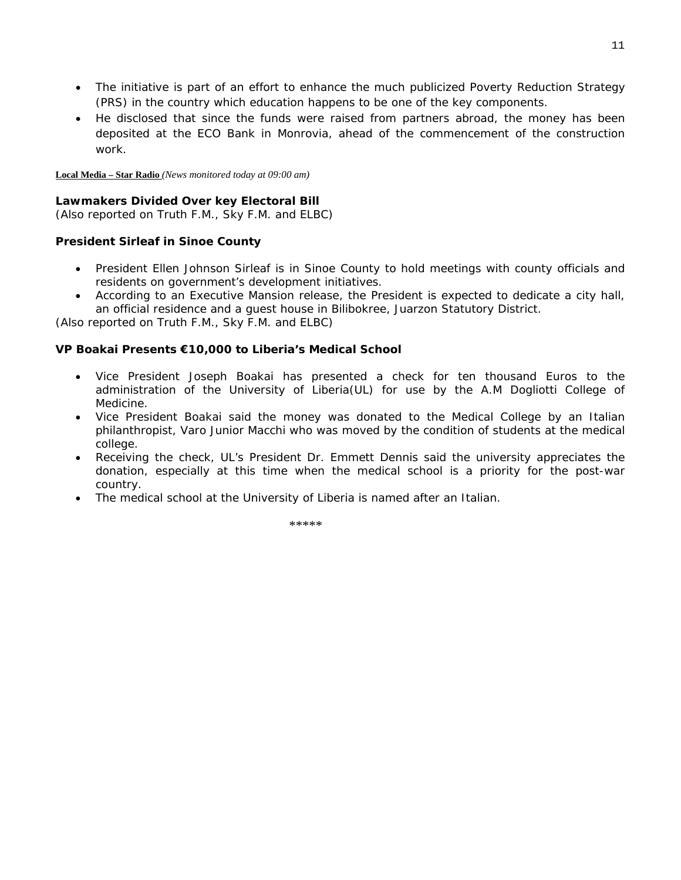- The initiative is part of an effort to enhance the much publicized Poverty Reduction Strategy (PRS) in the country which education happens to be one of the key components.
- He disclosed that since the funds were raised from partners abroad, the money has been deposited at the ECO Bank in Monrovia, ahead of the commencement of the construction work.

**Local Media – Star Radio** *(News monitored today at 09:00 am)* 

#### **Lawmakers Divided Over key Electoral Bill**

(*Also reported on Truth F.M., Sky F.M. and ELBC*)

#### **President Sirleaf in Sinoe County**

- President Ellen Johnson Sirleaf is in Sinoe County to hold meetings with county officials and residents on government's development initiatives.
- According to an Executive Mansion release, the President is expected to dedicate a city hall, an official residence and a guest house in Bilibokree, Juarzon Statutory District.

(*Also reported on Truth F.M., Sky F.M. and ELBC*)

#### **VP Boakai Presents €10,000 to Liberia's Medical School**

- Vice President Joseph Boakai has presented a check for ten thousand Euros to the administration of the University of Liberia(UL) for use by the A.M Dogliotti College of Medicine.
- Vice President Boakai said the money was donated to the Medical College by an Italian philanthropist, Varo Junior Macchi who was moved by the condition of students at the medical college.
- Receiving the check, UL's President Dr. Emmett Dennis said the university appreciates the donation, especially at this time when the medical school is a priority for the post-war country.
- The medical school at the University of Liberia is named after an Italian.

\*\*\*\*\*\*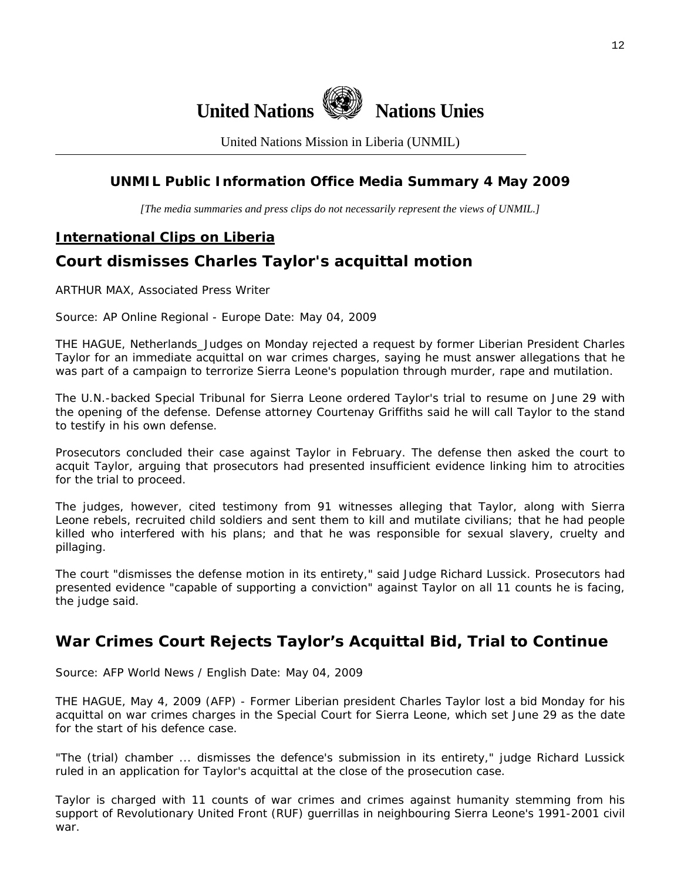

United Nations Mission in Liberia (UNMIL)

## **UNMIL Public Information Office Media Summary 4 May 2009**

*[The media summaries and press clips do not necessarily represent the views of UNMIL.]* 

## **International Clips on Liberia**

## **Court dismisses Charles Taylor's acquittal motion**

ARTHUR MAX, Associated Press Writer

Source: AP Online Regional - Europe Date: May 04, 2009

THE HAGUE, Netherlands\_Judges on Monday rejected a request by former Liberian President Charles Taylor for an immediate acquittal on war crimes charges, saying he must answer allegations that he was part of a campaign to terrorize Sierra Leone's population through murder, rape and mutilation.

The U.N.-backed Special Tribunal for Sierra Leone ordered Taylor's trial to resume on June 29 with the opening of the defense. Defense attorney Courtenay Griffiths said he will call Taylor to the stand to testify in his own defense.

Prosecutors concluded their case against Taylor in February. The defense then asked the court to acquit Taylor, arguing that prosecutors had presented insufficient evidence linking him to atrocities for the trial to proceed.

The judges, however, cited testimony from 91 witnesses alleging that Taylor, along with Sierra Leone rebels, recruited child soldiers and sent them to kill and mutilate civilians; that he had people killed who interfered with his plans; and that he was responsible for sexual slavery, cruelty and pillaging.

The court "dismisses the defense motion in its entirety," said Judge Richard Lussick. Prosecutors had presented evidence "capable of supporting a conviction" against Taylor on all 11 counts he is facing, the judge said.

## **War Crimes Court Rejects Taylor's Acquittal Bid, Trial to Continue**

Source: AFP World News / English Date: May 04, 2009

THE HAGUE, May 4, 2009 (AFP) - Former Liberian president Charles Taylor lost a bid Monday for his acquittal on war crimes charges in the Special Court for Sierra Leone, which set June 29 as the date for the start of his defence case.

"The (trial) chamber ... dismisses the defence's submission in its entirety," judge Richard Lussick ruled in an application for Taylor's acquittal at the close of the prosecution case.

Taylor is charged with 11 counts of war crimes and crimes against humanity stemming from his support of Revolutionary United Front (RUF) guerrillas in neighbouring Sierra Leone's 1991-2001 civil war.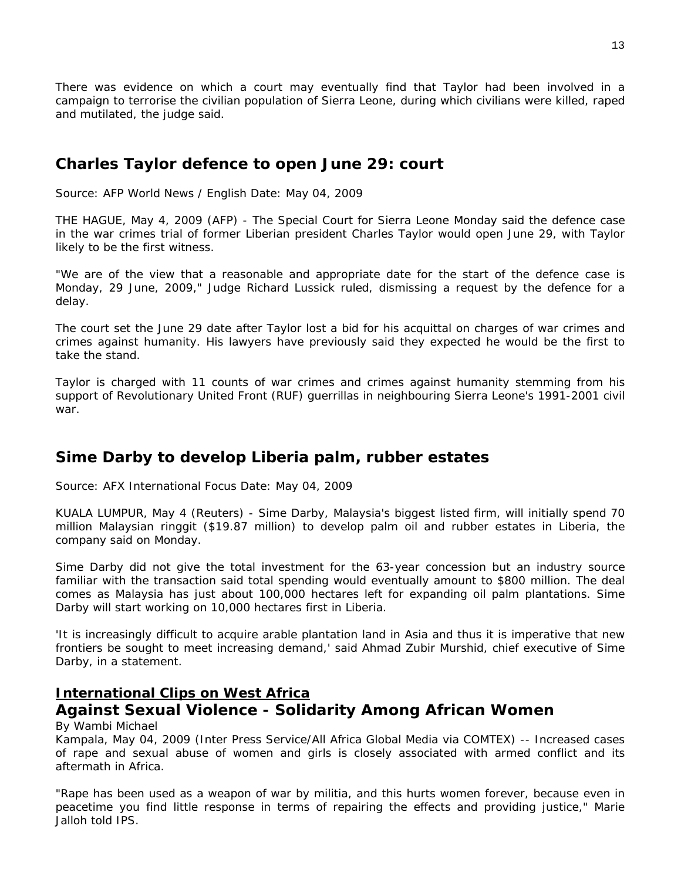There was evidence on which a court may eventually find that Taylor had been involved in a campaign to terrorise the civilian population of Sierra Leone, during which civilians were killed, raped and mutilated, the judge said.

## **Charles Taylor defence to open June 29: court**

Source: AFP World News / English Date: May 04, 2009

THE HAGUE, May 4, 2009 (AFP) - The Special Court for Sierra Leone Monday said the defence case in the war crimes trial of former Liberian president Charles Taylor would open June 29, with Taylor likely to be the first witness.

"We are of the view that a reasonable and appropriate date for the start of the defence case is Monday, 29 June, 2009," Judge Richard Lussick ruled, dismissing a request by the defence for a delay.

The court set the June 29 date after Taylor lost a bid for his acquittal on charges of war crimes and crimes against humanity. His lawyers have previously said they expected he would be the first to take the stand.

Taylor is charged with 11 counts of war crimes and crimes against humanity stemming from his support of Revolutionary United Front (RUF) guerrillas in neighbouring Sierra Leone's 1991-2001 civil war.

## **Sime Darby to develop Liberia palm, rubber estates**

Source: AFX International Focus Date: May 04, 2009

KUALA LUMPUR, May 4 (Reuters) - Sime Darby, Malaysia's biggest listed firm, will initially spend 70 million Malaysian ringgit (\$19.87 million) to develop palm oil and rubber estates in Liberia, the company said on Monday.

Sime Darby did not give the total investment for the 63-year concession but an industry source familiar with the transaction said total spending would eventually amount to \$800 million. The deal comes as Malaysia has just about 100,000 hectares left for expanding oil palm plantations. Sime Darby will start working on 10,000 hectares first in Liberia.

'It is increasingly difficult to acquire arable plantation land in Asia and thus it is imperative that new frontiers be sought to meet increasing demand,' said Ahmad Zubir Murshid, chief executive of Sime Darby, in a statement.

### **International Clips on West Africa**

# **Against Sexual Violence - Solidarity Among African Women**

#### By Wambi Michael

Kampala, May 04, 2009 (Inter Press Service/All Africa Global Media via COMTEX) -- Increased cases of rape and sexual abuse of women and girls is closely associated with armed conflict and its aftermath in Africa.

"Rape has been used as a weapon of war by militia, and this hurts women forever, because even in peacetime you find little response in terms of repairing the effects and providing justice," Marie Jalloh told IPS.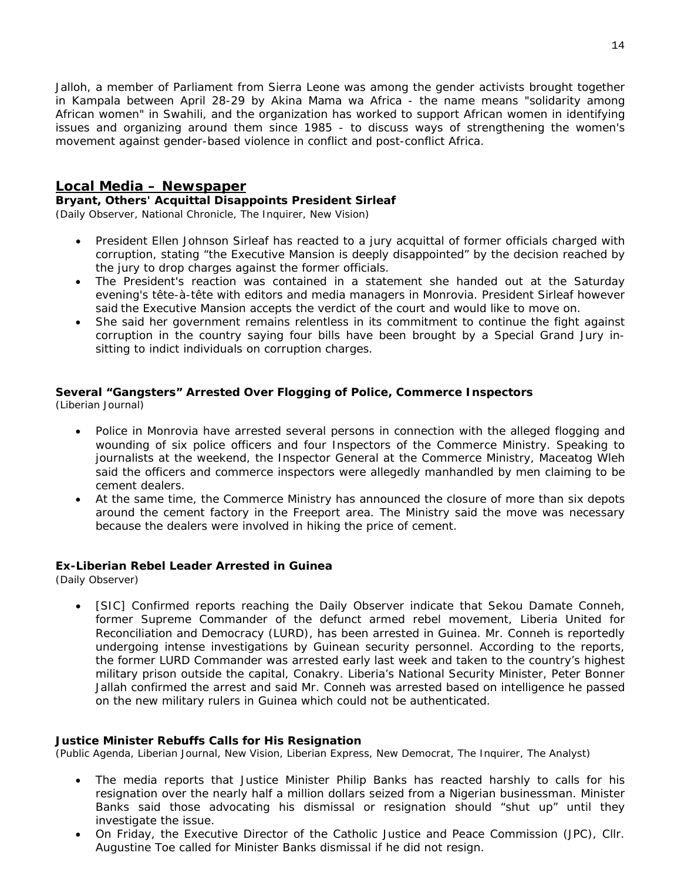Jalloh, a member of Parliament from Sierra Leone was among the gender activists brought together in Kampala between April 28-29 by Akina Mama wa Africa - the name means "solidarity among African women" in Swahili, and the organization has worked to support African women in identifying issues and organizing around them since 1985 - to discuss ways of strengthening the women's movement against gender-based violence in conflict and post-conflict Africa.

#### **Local Media – Newspaper**

#### **Bryant, Others' Acquittal Disappoints President Sirleaf**

(Daily Observer, National Chronicle, The Inquirer, New Vision)

- President Ellen Johnson Sirleaf has reacted to a jury acquittal of former officials charged with corruption, stating "the Executive Mansion is deeply disappointed" by the decision reached by the jury to drop charges against the former officials.
- The President's reaction was contained in a statement she handed out at the Saturday evening's tête-à-tête with editors and media managers in Monrovia. President Sirleaf however said the Executive Mansion accepts the verdict of the court and would like to move on.
- She said her government remains relentless in its commitment to continue the fight against corruption in the country saying four bills have been brought by a Special Grand Jury insitting to indict individuals on corruption charges.

## **Several "Gangsters" Arrested Over Flogging of Police, Commerce Inspectors**

(Liberian Journal)

- Police in Monrovia have arrested several persons in connection with the alleged flogging and wounding of six police officers and four Inspectors of the Commerce Ministry. Speaking to journalists at the weekend, the Inspector General at the Commerce Ministry, Maceatog Wleh said the officers and commerce inspectors were allegedly manhandled by men claiming to be cement dealers.
- At the same time, the Commerce Ministry has announced the closure of more than six depots around the cement factory in the Freeport area. The Ministry said the move was necessary because the dealers were involved in hiking the price of cement.

#### **Ex-Liberian Rebel Leader Arrested in Guinea**

(Daily Observer)

[SIC] Confirmed reports reaching the Daily Observer indicate that Sekou Damate Conneh, former Supreme Commander of the defunct armed rebel movement, Liberia United for Reconciliation and Democracy (LURD), has been arrested in Guinea. Mr. Conneh is reportedly undergoing intense investigations by Guinean security personnel. According to the reports, the former LURD Commander was arrested early last week and taken to the country's highest military prison outside the capital, Conakry. Liberia's National Security Minister, Peter Bonner Jallah confirmed the arrest and said Mr. Conneh was arrested based on intelligence he passed on the new military rulers in Guinea which could not be authenticated.

#### **Justice Minister Rebuffs Calls for His Resignation**

(Public Agenda, Liberian Journal, New Vision, Liberian Express, New Democrat, The Inquirer, The Analyst)

- The media reports that Justice Minister Philip Banks has reacted harshly to calls for his resignation over the nearly half a million dollars seized from a Nigerian businessman. Minister Banks said those advocating his dismissal or resignation should "shut up" until they investigate the issue.
- On Friday, the Executive Director of the Catholic Justice and Peace Commission (JPC), Cllr. Augustine Toe called for Minister Banks dismissal if he did not resign.